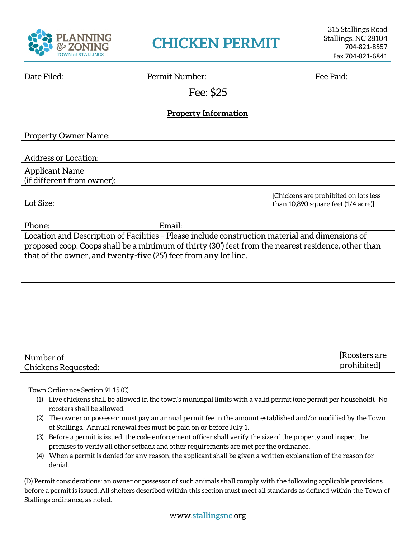

## **CHICKEN PERMIT**

| Date Filed: |  |
|-------------|--|
|             |  |

Permit Number: Fee Paid:

[Chickens are prohibited on lots less than 10,890 square feet (1/4 acre)]

Fee: \$25

## **Property Information**

Property Owner Name:

Address or Location:

Applicant Name (if different from owner):

Lot Size:

Phone: Email:

Location and Description of Facilities – Please include construction material and dimensions of proposed coop. Coops shall be a minimum of thirty (30') feet from the nearest residence, other than that of the owner, and twenty-five (25') feet from any lot line.

| Number of           | Roosters are |
|---------------------|--------------|
| Chickens Requested: | prohibited   |

## Town Ordinance Section 91.15 (C)

- (1) Live chickens shall be allowed in the town's municipal limits with a valid permit (one permit per household). No roosters shall be allowed.
- (2) The owner or possessor must pay an annual permit fee in the amount established and/or modified by the Town of Stallings. Annual renewal fees must be paid on or before July 1.
- (3) Before a permit is issued, the code enforcement officer shall verify the size of the property and inspect the premises to verify all other setback and other requirements are met per the ordinance.
- (4) When a permit is denied for any reason, the applicant shall be given a written explanation of the reason for denial.

(D) Permit considerations: an owner or possessor of such animals shall comply with the following applicable provisions before a permit is issued. All shelters described within this section must meet all standards as defined within the Town of Stallings ordinance, as noted.